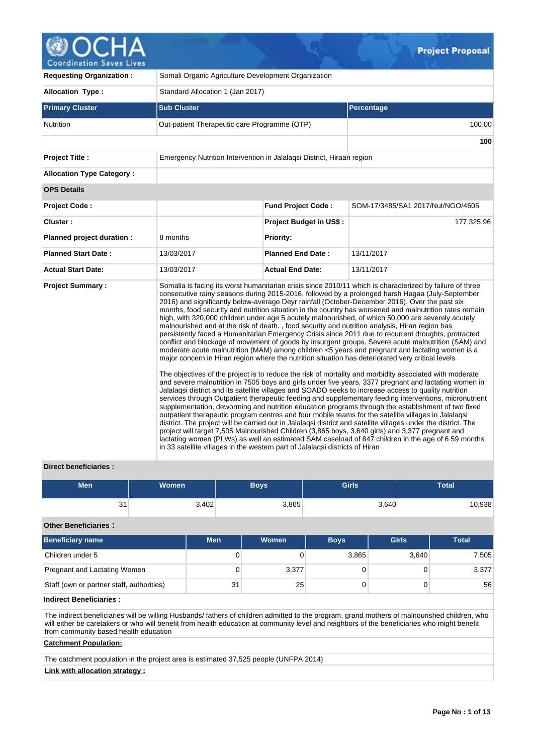

| <b>Requesting Organization:</b>  | Somali Organic Agriculture Development Organization                          |                                |                                                                                                                                                                                                                                                                                                                                                                                                                                                                                                                                                                                                                                                                                                                                                                                                                                                                                                                                                                                                                                                                                                                                                                                                                                                                                                                                                                                                                                                                                                                                                                                                                                                                                                                                                                                                                                                                                                                                                                                                                                         |  |  |  |  |
|----------------------------------|------------------------------------------------------------------------------|--------------------------------|-----------------------------------------------------------------------------------------------------------------------------------------------------------------------------------------------------------------------------------------------------------------------------------------------------------------------------------------------------------------------------------------------------------------------------------------------------------------------------------------------------------------------------------------------------------------------------------------------------------------------------------------------------------------------------------------------------------------------------------------------------------------------------------------------------------------------------------------------------------------------------------------------------------------------------------------------------------------------------------------------------------------------------------------------------------------------------------------------------------------------------------------------------------------------------------------------------------------------------------------------------------------------------------------------------------------------------------------------------------------------------------------------------------------------------------------------------------------------------------------------------------------------------------------------------------------------------------------------------------------------------------------------------------------------------------------------------------------------------------------------------------------------------------------------------------------------------------------------------------------------------------------------------------------------------------------------------------------------------------------------------------------------------------------|--|--|--|--|
| Allocation Type:                 | Standard Allocation 1 (Jan 2017)                                             |                                |                                                                                                                                                                                                                                                                                                                                                                                                                                                                                                                                                                                                                                                                                                                                                                                                                                                                                                                                                                                                                                                                                                                                                                                                                                                                                                                                                                                                                                                                                                                                                                                                                                                                                                                                                                                                                                                                                                                                                                                                                                         |  |  |  |  |
| <b>Primary Cluster</b>           | <b>Sub Cluster</b>                                                           |                                | <b>Percentage</b>                                                                                                                                                                                                                                                                                                                                                                                                                                                                                                                                                                                                                                                                                                                                                                                                                                                                                                                                                                                                                                                                                                                                                                                                                                                                                                                                                                                                                                                                                                                                                                                                                                                                                                                                                                                                                                                                                                                                                                                                                       |  |  |  |  |
| <b>Nutrition</b>                 | Out-patient Therapeutic care Programme (OTP)                                 |                                | 100.00                                                                                                                                                                                                                                                                                                                                                                                                                                                                                                                                                                                                                                                                                                                                                                                                                                                                                                                                                                                                                                                                                                                                                                                                                                                                                                                                                                                                                                                                                                                                                                                                                                                                                                                                                                                                                                                                                                                                                                                                                                  |  |  |  |  |
|                                  |                                                                              |                                | 100                                                                                                                                                                                                                                                                                                                                                                                                                                                                                                                                                                                                                                                                                                                                                                                                                                                                                                                                                                                                                                                                                                                                                                                                                                                                                                                                                                                                                                                                                                                                                                                                                                                                                                                                                                                                                                                                                                                                                                                                                                     |  |  |  |  |
| <b>Project Title:</b>            | Emergency Nutrition Intervention in Jalalagsi District, Hiraan region        |                                |                                                                                                                                                                                                                                                                                                                                                                                                                                                                                                                                                                                                                                                                                                                                                                                                                                                                                                                                                                                                                                                                                                                                                                                                                                                                                                                                                                                                                                                                                                                                                                                                                                                                                                                                                                                                                                                                                                                                                                                                                                         |  |  |  |  |
| <b>Allocation Type Category:</b> |                                                                              |                                |                                                                                                                                                                                                                                                                                                                                                                                                                                                                                                                                                                                                                                                                                                                                                                                                                                                                                                                                                                                                                                                                                                                                                                                                                                                                                                                                                                                                                                                                                                                                                                                                                                                                                                                                                                                                                                                                                                                                                                                                                                         |  |  |  |  |
| <b>OPS Details</b>               |                                                                              |                                |                                                                                                                                                                                                                                                                                                                                                                                                                                                                                                                                                                                                                                                                                                                                                                                                                                                                                                                                                                                                                                                                                                                                                                                                                                                                                                                                                                                                                                                                                                                                                                                                                                                                                                                                                                                                                                                                                                                                                                                                                                         |  |  |  |  |
| <b>Project Code:</b>             |                                                                              | <b>Fund Project Code:</b>      | SOM-17/3485/SA1 2017/Nut/NGO/4605                                                                                                                                                                                                                                                                                                                                                                                                                                                                                                                                                                                                                                                                                                                                                                                                                                                                                                                                                                                                                                                                                                                                                                                                                                                                                                                                                                                                                                                                                                                                                                                                                                                                                                                                                                                                                                                                                                                                                                                                       |  |  |  |  |
| Cluster:                         |                                                                              | <b>Project Budget in US\$:</b> | 177,325.96                                                                                                                                                                                                                                                                                                                                                                                                                                                                                                                                                                                                                                                                                                                                                                                                                                                                                                                                                                                                                                                                                                                                                                                                                                                                                                                                                                                                                                                                                                                                                                                                                                                                                                                                                                                                                                                                                                                                                                                                                              |  |  |  |  |
| Planned project duration :       | 8 months                                                                     | <b>Priority:</b>               |                                                                                                                                                                                                                                                                                                                                                                                                                                                                                                                                                                                                                                                                                                                                                                                                                                                                                                                                                                                                                                                                                                                                                                                                                                                                                                                                                                                                                                                                                                                                                                                                                                                                                                                                                                                                                                                                                                                                                                                                                                         |  |  |  |  |
| <b>Planned Start Date:</b>       | 13/03/2017                                                                   | <b>Planned End Date:</b>       | 13/11/2017                                                                                                                                                                                                                                                                                                                                                                                                                                                                                                                                                                                                                                                                                                                                                                                                                                                                                                                                                                                                                                                                                                                                                                                                                                                                                                                                                                                                                                                                                                                                                                                                                                                                                                                                                                                                                                                                                                                                                                                                                              |  |  |  |  |
| <b>Actual Start Date:</b>        | 13/03/2017                                                                   | <b>Actual End Date:</b>        | 13/11/2017                                                                                                                                                                                                                                                                                                                                                                                                                                                                                                                                                                                                                                                                                                                                                                                                                                                                                                                                                                                                                                                                                                                                                                                                                                                                                                                                                                                                                                                                                                                                                                                                                                                                                                                                                                                                                                                                                                                                                                                                                              |  |  |  |  |
| <b>Project Summary:</b>          | in 33 satellite villages in the western part of Jalalagsi districts of Hiran |                                | Somalia is facing its worst humanitarian crisis since 2010/11 which is characterized by failure of three<br>consecutive rainy seasons during 2015-2016, followed by a prolonged harsh Hagaa (July-September<br>2016) and significantly below-average Deyr rainfall (October-December 2016). Over the past six<br>months, food security and nutrition situation in the country has worsened and malnutrition rates remain<br>high, with 320,000 children under age 5 acutely malnourished, of which 50,000 are severely acutely<br>malnourished and at the risk of death., food security and nutrition analysis, Hiran region has<br>persistently faced a Humanitarian Emergency Crisis since 2011 due to recurrent droughts, protracted<br>conflict and blockage of movement of goods by insurgent groups. Severe acute malnutrition (SAM) and<br>moderate acute malnutrition (MAM) among children <5 years and pregnant and lactating women is a<br>major concern in Hiran region where the nutrition situation has deteriorated very critical levels<br>The objectives of the project is to reduce the risk of mortality and morbidity associated with moderate<br>and severe malnutrition in 7505 boys and girls under five years, 3377 pregnant and lactating women in<br>Jalalaqsi district and its satellite villages and SOADO seeks to increase access to quality nutrition<br>services through Outpatient therapeutic feeding and supplementary feeding interventions, micronutrient<br>supplementation, deworming and nutrition education programs through the establishment of two fixed<br>outpatient therapeutic program centres and four mobile teams for the satellite villages in Jalalagsi<br>district. The project will be carried out in Jalalagsi district and satellite villages under the district. The<br>project will target 7,505 Malnourished Children (3,865 boys, 3,640 girls) and 3,377 pregnant and<br>lactating women (PLWs) as well an estimated SAM caseload of 847 children in the age of 6 59 months |  |  |  |  |

# **Direct beneficiaries :**

| <b>Men</b> | <b>Women</b> | Boys  | <b>Girls</b> | <b>Total</b> |
|------------|--------------|-------|--------------|--------------|
| 31         | 3,402        | 3,865 | 3,640        | 0,938        |

# **Other Beneficiaries :**

| <b>Beneficiary name</b>                   | <b>Men</b> | Women | <b>Boys</b> | <b>Girls</b> | <b>Total</b> |
|-------------------------------------------|------------|-------|-------------|--------------|--------------|
| Children under 5                          | 0          |       | 3,865       | 3,640        | 7,505        |
| Pregnant and Lactating Women              |            | 3,377 |             |              | 3,377        |
| Staff (own or partner staff, authorities) | 31         | 25    |             |              | 56           |

# **Indirect Beneficiaries :**

The indirect beneficiaries will be willing Husbands/ fathers of children admitted to the program, grand mothers of malnourished children, who will either be caretakers or who will benefit from health education at community level and neighbors of the beneficiaries who might benefit from community based health education

# **Catchment Population:**

The catchment population in the project area is estimated 37,525 people (UNFPA 2014)

# **Link with allocation strategy :**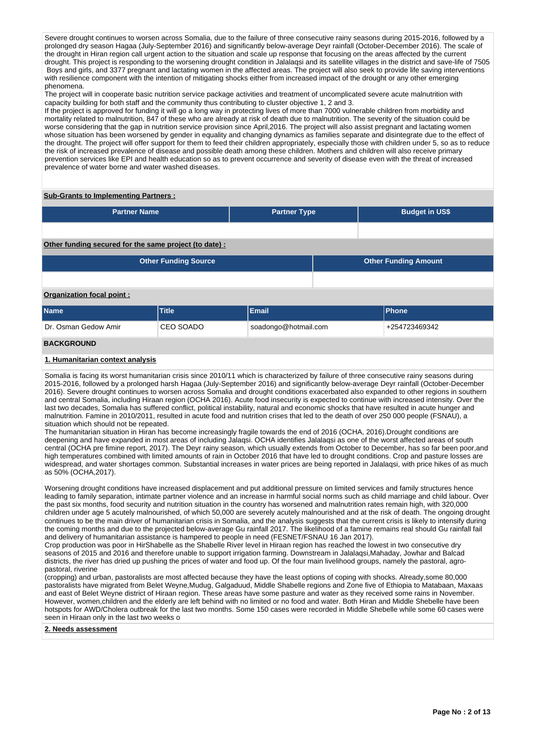Severe drought continues to worsen across Somalia, due to the failure of three consecutive rainy seasons during 2015-2016, followed by a prolonged dry season Hagaa (July-September 2016) and significantly below-average Deyr rainfall (October-December 2016). The scale of the drought in Hiran region call urgent action to the situation and scale up response that focusing on the areas affected by the current drought. This project is responding to the worsening drought condition in Jalalaqsi and its satellite villages in the district and save-life of 7505 Boys and girls, and 3377 pregnant and lactating women in the affected areas. The project will also seek to provide life saving interventions with resilience component with the intention of mitigating shocks either from increased impact of the drought or any other emerging phenomena.

The project will in cooperate basic nutrition service package activities and treatment of uncomplicated severe acute malnutrition with capacity building for both staff and the community thus contributing to cluster objective 1, 2 and 3.

If the project is approved for funding it will go a long way in protecting lives of more than 7000 vulnerable children from morbidity and mortality related to malnutrition, 847 of these who are already at risk of death due to malnutrition. The severity of the situation could be worse considering that the gap in nutrition service provision since April,2016. The project will also assist pregnant and lactating women whose situation has been worsened by gender in equality and changing dynamics as families separate and disintegrate due to the effect of the drought. The project will offer support for them to feed their children appropriately, especially those with children under 5, so as to reduce the risk of increased prevalence of disease and possible death among these children. Mothers and children will also receive primary prevention services like EPI and health education so as to prevent occurrence and severity of disease even with the threat of increased prevalence of water borne and water washed diseases.

#### **Sub-Grants to Implementing Partners :**

| <b>Partner Name</b> | <b>Partner Type</b> | <b>Budget in US\$</b> |
|---------------------|---------------------|-----------------------|

#### **Other funding secured for the same project (to date) :**

| <b>Other Funding Source</b> | <b>Other Funding Amount</b> |
|-----------------------------|-----------------------------|
|                             |                             |

### **Organization focal point :**

| <b>Name</b>          | <b>Title</b> | <b>Email</b>         | <b>Phone</b>  |
|----------------------|--------------|----------------------|---------------|
| Dr. Osman Gedow Amir | CEO SOADO    | soadongo@hotmail.com | +254723469342 |
| <b>BACKGROUND</b>    |              |                      |               |

## **1. Humanitarian context analysis**

Somalia is facing its worst humanitarian crisis since 2010/11 which is characterized by failure of three consecutive rainy seasons during 2015-2016, followed by a prolonged harsh Hagaa (July-September 2016) and significantly below-average Deyr rainfall (October-December 2016). Severe drought continues to worsen across Somalia and drought conditions exacerbated also expanded to other regions in southern and central Somalia, including Hiraan region (OCHA 2016). Acute food insecurity is expected to continue with increased intensity. Over the last two decades, Somalia has suffered conflict, political instability, natural and economic shocks that have resulted in acute hunger and malnutrition. Famine in 2010/2011, resulted in acute food and nutrition crises that led to the death of over 250 000 people (FSNAU), a situation which should not be repeated.

The humanitarian situation in Hiran has become increasingly fragile towards the end of 2016 (OCHA, 2016).Drought conditions are deepening and have expanded in most areas of including Jalaqsi. OCHA identifies Jalalaqsi as one of the worst affected areas of south central (OCHA pre fimine report, 2017). The Deyr rainy season, which usually extends from October to December, has so far been poor,and high temperatures combined with limited amounts of rain in October 2016 that have led to drought conditions. Crop and pasture losses are widespread, and water shortages common. Substantial increases in water prices are being reported in Jalalaqsi, with price hikes of as much as 50% (OCHA,2017).

Worsening drought conditions have increased displacement and put additional pressure on limited services and family structures hence leading to family separation, intimate partner violence and an increase in harmful social norms such as child marriage and child labour. Over the past six months, food security and nutrition situation in the country has worsened and malnutrition rates remain high, with 320,000 children under age 5 acutely malnourished, of which 50,000 are severely acutely malnourished and at the risk of death. The ongoing drought continues to be the main driver of humanitarian crisis in Somalia, and the analysis suggests that the current crisis is likely to intensify during the coming months and due to the projected below-average Gu rainfall 2017. The likelihood of a famine remains real should Gu rainfall fail and delivery of humanitarian assistance is hampered to people in need (FESNET/FSNAU 16 Jan 2017).

Crop production was poor in HirShabelle as the Shabelle River level in Hiraan region has reached the lowest in two consecutive dry seasons of 2015 and 2016 and therefore unable to support irrigation farming. Downstream in Jalalaqsi,Mahaday, Jowhar and Balcad districts, the river has dried up pushing the prices of water and food up. Of the four main livelihood groups, namely the pastoral, agropastoral, riverine

(cropping) and urban, pastoralists are most affected because they have the least options of coping with shocks. Already,some 80,000 pastoralists have migrated from Belet Weyne,Mudug, Galgaduud, Middle Shabelle regions and Zone five of Ethiopia to Matabaan, Maxaas and east of Belet Weyne district of Hiraan region. These areas have some pasture and water as they received some rains in November. However, women,children and the elderly are left behind with no limited or no food and water. Both Hiran and Middle Shebelle have been hotspots for AWD/Cholera outbreak for the last two months. Some 150 cases were recorded in Middle Shebelle while some 60 cases were seen in Hiraan only in the last two weeks o

#### **2. Needs assessment**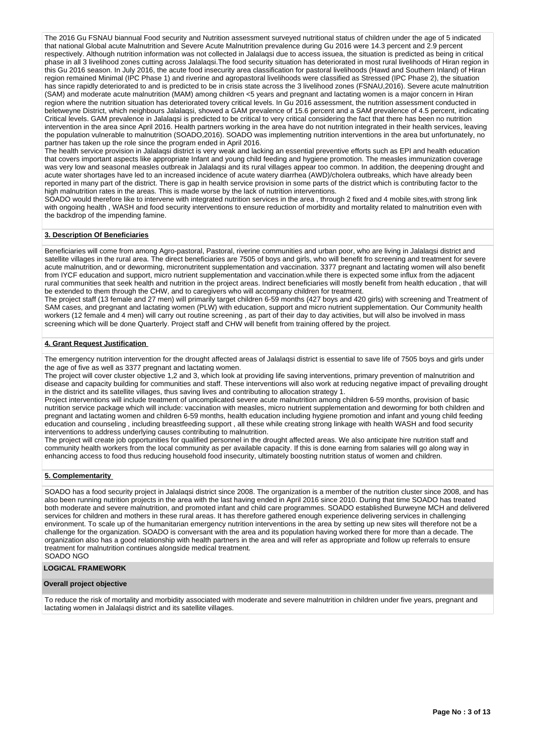The 2016 Gu FSNAU biannual Food security and Nutrition assessment surveyed nutritional status of children under the age of 5 indicated that national Global acute Malnutrition and Severe Acute Malnutrition prevalence during Gu 2016 were 14.3 percent and 2.9 percent respectively. Although nutrition information was not collected in Jalalaqsi due to access issuea, the situation is predicted as being in critical phase in all 3 livelihood zones cutting across Jalalaqsi.The food security situation has deteriorated in most rural livelihoods of Hiran region in this Gu 2016 season. In July 2016, the acute food insecurity area classification for pastoral livelihoods (Hawd and Southern Inland) of Hiran region remained Minimal (IPC Phase 1) and riverine and agropastoral livelihoods were classified as Stressed (IPC Phase 2), the situation has since rapidly deteriorated to and is predicted to be in crisis state across the 3 livelihood zones (FSNAU,2016). Severe acute malnutrition (SAM) and moderate acute malnutrition (MAM) among children <5 years and pregnant and lactating women is a major concern in Hiran region where the nutrition situation has deteriorated tovery critical levels. In Gu 2016 assessment, the nutrition assessment conducted in beletweyne District, which neighbours Jalalaqsi, showed a GAM prevalence of 15.6 percent and a SAM prevalence of 4.5 percent, indicating Critical levels. GAM prevalence in Jalalaqsi is predicted to be critical to very critical considering the fact that there has been no nutrition intervention in the area since April 2016. Health partners working in the area have do not nutrition integrated in their health services, leaving the population vulnerable to malnutrition (SOADO,2016). SOADO was implementing nutrition interventions in the area but unfortunately, no partner has taken up the role since the program ended in April 2016.

The health service provision in Jalalaqsi district is very weak and lacking an essential preventive efforts such as EPI and health education that covers important aspects like appropriate Infant and young child feeding and hygiene promotion. The measles immunization coverage was very low and seasonal measles outbreak in Jalalaqsi and its rural villages appear too common. In addition, the deepening drought and acute water shortages have led to an increased incidence of acute watery diarrhea (AWD)/cholera outbreaks, which have already been reported in many part of the district. There is gap in health service provision in some parts of the district which is contributing factor to the high malnutrition rates in the areas. This is made worse by the lack of nutrition interventions.

SOADO would therefore like to intervene with integrated nutrition services in the area , through 2 fixed and 4 mobile sites,with strong link with ongoing health , WASH and food security interventions to ensure reduction of morbidity and mortality related to malnutrition even with the backdrop of the impending famine.

#### **3. Description Of Beneficiaries**

Beneficiaries will come from among Agro-pastoral, Pastoral, riverine communities and urban poor, who are living in Jalalaqsi district and satellite villages in the rural area. The direct beneficiaries are 7505 of boys and girls, who will benefit fro screening and treatment for severe acute malnutrition, and or deworming, micronutritent supplementation and vaccination. 3377 pregnant and lactating women will also benefit from IYCF education and support, micro nutrient supplementation and vaccination.while there is expected some influx from the adjacent rural communities that seek health and nutrition in the project areas. Indirect beneficiaries will mostly benefit from health education , that will be extended to them through the CHW, and to caregivers who will accompany children for treatment.

The project staff (13 female and 27 men) will primarily target children 6-59 months (427 boys and 420 girls) with screening and Treatment of SAM cases, and pregnant and lactating women (PLW) with education, support and micro nutrient supplementation. Our Community health workers (12 female and 4 men) will carry out routine screening , as part of their day to day activities, but will also be involved in mass screening which will be done Quarterly. Project staff and CHW will benefit from training offered by the project.

## **4. Grant Request Justification**

The emergency nutrition intervention for the drought affected areas of Jalalaqsi district is essential to save life of 7505 boys and girls under the age of five as well as 3377 pregnant and lactating women.

The project will cover cluster objective 1,2 and 3, which look at providing life saving interventions, primary prevention of malnutrition and disease and capacity building for communities and staff. These interventions will also work at reducing negative impact of prevailing drought in the district and its satellite villages, thus saving lives and contributing to allocation strategy 1.

Project interventions will include treatment of uncomplicated severe acute malnutrition among children 6-59 months, provision of basic nutrition service package which will include: vaccination with measles, micro nutrient supplementation and deworming for both children and pregnant and lactating women and children 6-59 months, health education including hygiene promotion and infant and young child feeding education and counseling , including breastfeeding support , all these while creating strong linkage with health WASH and food security interventions to address underlying causes contributing to malnutrition.

The project will create job opportunities for qualified personnel in the drought affected areas. We also anticipate hire nutrition staff and community health workers from the local community as per available capacity. If this is done earning from salaries will go along way in enhancing access to food thus reducing household food insecurity, ultimately boosting nutrition status of women and children.

#### **5. Complementarity**

SOADO has a food security project in Jalalaqsi district since 2008. The organization is a member of the nutrition cluster since 2008, and has also been running nutrition projects in the area with the last having ended in April 2016 since 2010. During that time SOADO has treated both moderate and severe malnutrition, and promoted infant and child care programmes. SOADO established Burweyne MCH and delivered services for children and mothers in these rural areas. It has therefore gathered enough experience delivering services in challenging environment. To scale up of the humanitarian emergency nutrition interventions in the area by setting up new sites will therefore not be a challenge for the organization. SOADO is conversant with the area and its population having worked there for more than a decade. The organization also has a good relationship with health partners in the area and will refer as appropriate and follow up referrals to ensure treatment for malnutrition continues alongside medical treatment. SOADO NGO

#### **LOGICAL FRAMEWORK**

#### **Overall project objective**

To reduce the risk of mortality and morbidity associated with moderate and severe malnutrition in children under five years, pregnant and lactating women in Jalalaqsi district and its satellite villages.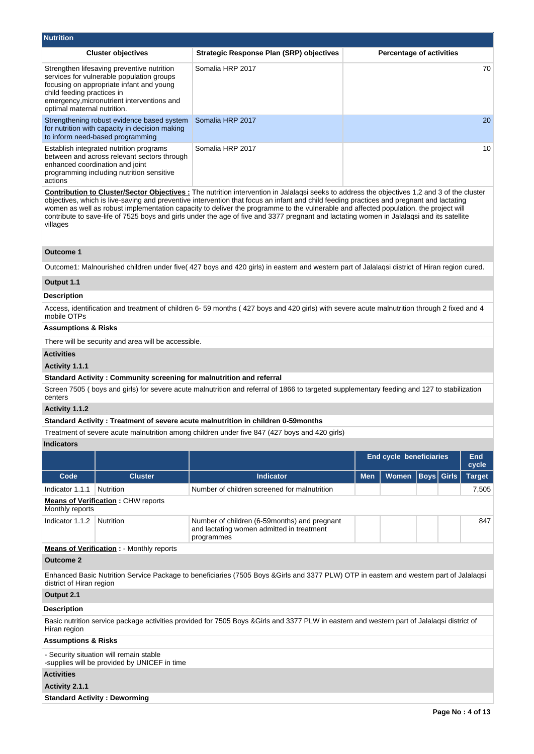| <b>Nutrition</b>                                          |                                                                                                                                                                                   |                                                                                                                                                                                                                                                                                                                                                                                                                                                                                                                                                                                      |            |                                 |                   |  |                     |  |  |  |  |
|-----------------------------------------------------------|-----------------------------------------------------------------------------------------------------------------------------------------------------------------------------------|--------------------------------------------------------------------------------------------------------------------------------------------------------------------------------------------------------------------------------------------------------------------------------------------------------------------------------------------------------------------------------------------------------------------------------------------------------------------------------------------------------------------------------------------------------------------------------------|------------|---------------------------------|-------------------|--|---------------------|--|--|--|--|
|                                                           | <b>Cluster objectives</b>                                                                                                                                                         | <b>Strategic Response Plan (SRP) objectives</b>                                                                                                                                                                                                                                                                                                                                                                                                                                                                                                                                      |            | <b>Percentage of activities</b> |                   |  |                     |  |  |  |  |
| child feeding practices in<br>optimal maternal nutrition. | Strengthen lifesaving preventive nutrition<br>services for vulnerable population groups<br>focusing on appropriate infant and young<br>emergency, micronutrient interventions and | Somalia HRP 2017                                                                                                                                                                                                                                                                                                                                                                                                                                                                                                                                                                     | 70         |                                 |                   |  |                     |  |  |  |  |
|                                                           | Strengthening robust evidence based system<br>for nutrition with capacity in decision making<br>to inform need-based programming                                                  | Somalia HRP 2017                                                                                                                                                                                                                                                                                                                                                                                                                                                                                                                                                                     | 20         |                                 |                   |  |                     |  |  |  |  |
| actions                                                   | Establish integrated nutrition programs<br>between and across relevant sectors through<br>enhanced coordination and joint<br>programming including nutrition sensitive            | Somalia HRP 2017                                                                                                                                                                                                                                                                                                                                                                                                                                                                                                                                                                     | 10         |                                 |                   |  |                     |  |  |  |  |
| villages                                                  |                                                                                                                                                                                   | <b>Contribution to Cluster/Sector Objectives</b> : The nutrition intervention in Jalalagsi seeks to address the objectives 1.2 and 3 of the cluster<br>objectives, which is live-saving and preventive intervention that focus an infant and child feeding practices and pregnant and lactating<br>women as well as robust implementation capacity to deliver the programme to the vulnerable and affected population, the project will<br>contribute to save-life of 7525 boys and girls under the age of five and 3377 pregnant and lactating women in Jalalagsi and its satellite |            |                                 |                   |  |                     |  |  |  |  |
| <b>Outcome 1</b>                                          |                                                                                                                                                                                   |                                                                                                                                                                                                                                                                                                                                                                                                                                                                                                                                                                                      |            |                                 |                   |  |                     |  |  |  |  |
|                                                           |                                                                                                                                                                                   | Outcome1: Malnourished children under five(427 boys and 420 girls) in eastern and western part of Jalalagsi district of Hiran region cured.                                                                                                                                                                                                                                                                                                                                                                                                                                          |            |                                 |                   |  |                     |  |  |  |  |
| Output 1.1                                                |                                                                                                                                                                                   |                                                                                                                                                                                                                                                                                                                                                                                                                                                                                                                                                                                      |            |                                 |                   |  |                     |  |  |  |  |
| Description                                               |                                                                                                                                                                                   |                                                                                                                                                                                                                                                                                                                                                                                                                                                                                                                                                                                      |            |                                 |                   |  |                     |  |  |  |  |
| mobile OTPs                                               |                                                                                                                                                                                   | Access, identification and treatment of children 6-59 months (427 boys and 420 girls) with severe acute malnutrition through 2 fixed and 4                                                                                                                                                                                                                                                                                                                                                                                                                                           |            |                                 |                   |  |                     |  |  |  |  |
| Assumptions & Risks                                       |                                                                                                                                                                                   |                                                                                                                                                                                                                                                                                                                                                                                                                                                                                                                                                                                      |            |                                 |                   |  |                     |  |  |  |  |
|                                                           | There will be security and area will be accessible.                                                                                                                               |                                                                                                                                                                                                                                                                                                                                                                                                                                                                                                                                                                                      |            |                                 |                   |  |                     |  |  |  |  |
| <b>Activities</b>                                         |                                                                                                                                                                                   |                                                                                                                                                                                                                                                                                                                                                                                                                                                                                                                                                                                      |            |                                 |                   |  |                     |  |  |  |  |
| Activity 1.1.1                                            |                                                                                                                                                                                   |                                                                                                                                                                                                                                                                                                                                                                                                                                                                                                                                                                                      |            |                                 |                   |  |                     |  |  |  |  |
|                                                           | Standard Activity: Community screening for malnutrition and referral                                                                                                              |                                                                                                                                                                                                                                                                                                                                                                                                                                                                                                                                                                                      |            |                                 |                   |  |                     |  |  |  |  |
| centers                                                   |                                                                                                                                                                                   | Screen 7505 (boys and girls) for severe acute malnutrition and referral of 1866 to targeted supplementary feeding and 127 to stabilization                                                                                                                                                                                                                                                                                                                                                                                                                                           |            |                                 |                   |  |                     |  |  |  |  |
| Activity 1.1.2                                            |                                                                                                                                                                                   |                                                                                                                                                                                                                                                                                                                                                                                                                                                                                                                                                                                      |            |                                 |                   |  |                     |  |  |  |  |
|                                                           |                                                                                                                                                                                   | Standard Activity: Treatment of severe acute malnutrition in children 0-59months                                                                                                                                                                                                                                                                                                                                                                                                                                                                                                     |            |                                 |                   |  |                     |  |  |  |  |
|                                                           |                                                                                                                                                                                   | Treatment of severe acute malnutrition among children under five 847 (427 boys and 420 girls)                                                                                                                                                                                                                                                                                                                                                                                                                                                                                        |            |                                 |                   |  |                     |  |  |  |  |
| <b>Indicators</b>                                         |                                                                                                                                                                                   |                                                                                                                                                                                                                                                                                                                                                                                                                                                                                                                                                                                      |            |                                 |                   |  |                     |  |  |  |  |
|                                                           |                                                                                                                                                                                   |                                                                                                                                                                                                                                                                                                                                                                                                                                                                                                                                                                                      |            | End cycle beneficiaries         |                   |  | <b>End</b><br>cycle |  |  |  |  |
| Code                                                      | <b>Cluster</b>                                                                                                                                                                    | <b>Indicator</b>                                                                                                                                                                                                                                                                                                                                                                                                                                                                                                                                                                     | <b>Men</b> | Women                           | <b>Boys</b> Girls |  | <b>Target</b>       |  |  |  |  |
| Indicator 1.1.1                                           | Nutrition                                                                                                                                                                         | Number of children screened for malnutrition                                                                                                                                                                                                                                                                                                                                                                                                                                                                                                                                         |            |                                 |                   |  | 7,505               |  |  |  |  |
| Monthly reports                                           | <b>Means of Verification: CHW reports</b>                                                                                                                                         |                                                                                                                                                                                                                                                                                                                                                                                                                                                                                                                                                                                      |            |                                 |                   |  |                     |  |  |  |  |
| Indicator 1.1.2                                           | Nutrition                                                                                                                                                                         | Number of children (6-59 months) and pregnant<br>and lactating women admitted in treatment<br>programmes                                                                                                                                                                                                                                                                                                                                                                                                                                                                             |            |                                 |                   |  | 847                 |  |  |  |  |
| <b>Outcome 2</b>                                          | <b>Means of Verification:</b> - Monthly reports                                                                                                                                   |                                                                                                                                                                                                                                                                                                                                                                                                                                                                                                                                                                                      |            |                                 |                   |  |                     |  |  |  |  |
| district of Hiran region                                  |                                                                                                                                                                                   | Enhanced Basic Nutrition Service Package to beneficiaries (7505 Boys & Girls and 3377 PLW) OTP in eastern and western part of Jalalaqsi                                                                                                                                                                                                                                                                                                                                                                                                                                              |            |                                 |                   |  |                     |  |  |  |  |
| Output 2.1                                                |                                                                                                                                                                                   |                                                                                                                                                                                                                                                                                                                                                                                                                                                                                                                                                                                      |            |                                 |                   |  |                     |  |  |  |  |
| Description                                               |                                                                                                                                                                                   |                                                                                                                                                                                                                                                                                                                                                                                                                                                                                                                                                                                      |            |                                 |                   |  |                     |  |  |  |  |
| Hiran region                                              |                                                                                                                                                                                   | Basic nutrition service package activities provided for 7505 Boys & Girls and 3377 PLW in eastern and western part of Jalalaqsi district of                                                                                                                                                                                                                                                                                                                                                                                                                                          |            |                                 |                   |  |                     |  |  |  |  |
| <b>Assumptions &amp; Risks</b>                            |                                                                                                                                                                                   |                                                                                                                                                                                                                                                                                                                                                                                                                                                                                                                                                                                      |            |                                 |                   |  |                     |  |  |  |  |

- Security situation will remain stable

-supplies will be provided by UNICEF in time

# **Activities**

# **Activity 2.1.1**

**Standard Activity : Deworming**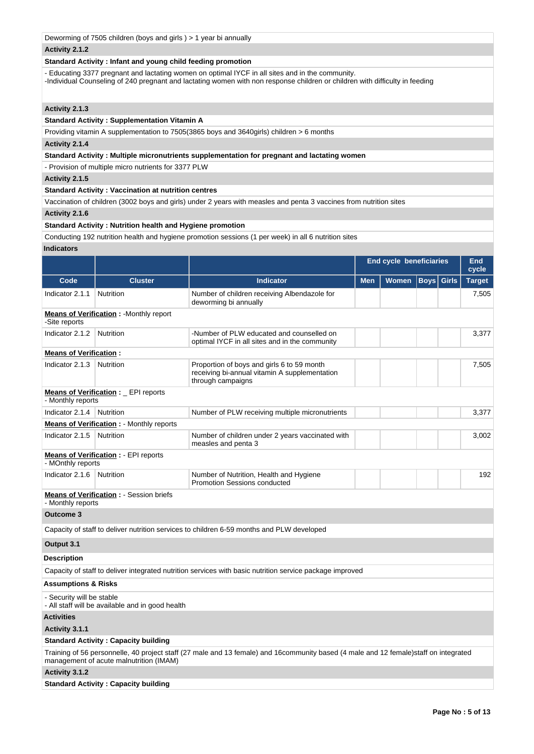| Deworming of 7505 children (boys and girls) > 1 year bi annually |                                                                  |                                                                                                                                                                                                                                  |            |                         |                   |  |                     |  |
|------------------------------------------------------------------|------------------------------------------------------------------|----------------------------------------------------------------------------------------------------------------------------------------------------------------------------------------------------------------------------------|------------|-------------------------|-------------------|--|---------------------|--|
| Activity 2.1.2                                                   |                                                                  |                                                                                                                                                                                                                                  |            |                         |                   |  |                     |  |
| Standard Activity: Infant and young child feeding promotion      |                                                                  |                                                                                                                                                                                                                                  |            |                         |                   |  |                     |  |
|                                                                  |                                                                  | - Educating 3377 pregnant and lactating women on optimal IYCF in all sites and in the community.<br>-Individual Counseling of 240 pregnant and lactating women with non response children or children with difficulty in feeding |            |                         |                   |  |                     |  |
| Activity 2.1.3                                                   |                                                                  |                                                                                                                                                                                                                                  |            |                         |                   |  |                     |  |
|                                                                  | <b>Standard Activity: Supplementation Vitamin A</b>              |                                                                                                                                                                                                                                  |            |                         |                   |  |                     |  |
|                                                                  |                                                                  | Providing vitamin A supplementation to 7505(3865 boys and 3640girls) children > 6 months                                                                                                                                         |            |                         |                   |  |                     |  |
| Activity 2.1.4                                                   |                                                                  |                                                                                                                                                                                                                                  |            |                         |                   |  |                     |  |
|                                                                  |                                                                  | Standard Activity: Multiple micronutrients supplementation for pregnant and lactating women                                                                                                                                      |            |                         |                   |  |                     |  |
|                                                                  | - Provision of multiple micro nutrients for 3377 PLW             |                                                                                                                                                                                                                                  |            |                         |                   |  |                     |  |
| Activity 2.1.5                                                   |                                                                  |                                                                                                                                                                                                                                  |            |                         |                   |  |                     |  |
|                                                                  | <b>Standard Activity: Vaccination at nutrition centres</b>       |                                                                                                                                                                                                                                  |            |                         |                   |  |                     |  |
|                                                                  |                                                                  | Vaccination of children (3002 boys and girls) under 2 years with measles and penta 3 vaccines from nutrition sites                                                                                                               |            |                         |                   |  |                     |  |
| Activity 2.1.6                                                   |                                                                  |                                                                                                                                                                                                                                  |            |                         |                   |  |                     |  |
|                                                                  | <b>Standard Activity: Nutrition health and Hygiene promotion</b> |                                                                                                                                                                                                                                  |            |                         |                   |  |                     |  |
|                                                                  |                                                                  | Conducting 192 nutrition health and hygiene promotion sessions (1 per week) in all 6 nutrition sites                                                                                                                             |            |                         |                   |  |                     |  |
| <b>Indicators</b>                                                |                                                                  |                                                                                                                                                                                                                                  |            |                         |                   |  |                     |  |
|                                                                  |                                                                  |                                                                                                                                                                                                                                  |            | End cycle beneficiaries |                   |  | <b>End</b><br>cycle |  |
| Code                                                             | <b>Cluster</b>                                                   | <b>Indicator</b>                                                                                                                                                                                                                 | <b>Men</b> | <b>Women</b>            | <b>Boys</b> Girls |  | <b>Target</b>       |  |
| Indicator 2.1.1                                                  | Nutrition                                                        | Number of children receiving Albendazole for<br>deworming bi annually                                                                                                                                                            |            |                         |                   |  | 7,505               |  |
| -Site reports                                                    | <b>Means of Verification:</b> - Monthly report                   |                                                                                                                                                                                                                                  |            |                         |                   |  |                     |  |
| Indicator 2.1.2                                                  | <b>Nutrition</b>                                                 | -Number of PLW educated and counselled on<br>optimal IYCF in all sites and in the community                                                                                                                                      |            |                         |                   |  | 3,377               |  |
| <b>Means of Verification:</b>                                    |                                                                  |                                                                                                                                                                                                                                  |            |                         |                   |  |                     |  |
| Indicator 2.1.3                                                  | Nutrition                                                        | Proportion of boys and girls 6 to 59 month<br>receiving bi-annual vitamin A supplementation<br>through campaigns                                                                                                                 |            |                         |                   |  | 7,505               |  |
| - Monthly reports                                                | <b>Means of Verification:</b> _ EPI reports                      |                                                                                                                                                                                                                                  |            |                         |                   |  |                     |  |
| Indicator $2.1.4$                                                | Nutrition                                                        | Number of PLW receiving multiple micronutrients                                                                                                                                                                                  |            |                         |                   |  | 3,377               |  |
|                                                                  | <b>Means of Verification : - Monthly reports</b>                 |                                                                                                                                                                                                                                  |            |                         |                   |  |                     |  |
| Indicator 2.1.5                                                  | Nutrition                                                        | Number of children under 2 years vaccinated with<br>measles and penta 3                                                                                                                                                          |            |                         |                   |  | 3,002               |  |
| - MOnthly reports                                                | <b>Means of Verification: - EPI reports</b>                      |                                                                                                                                                                                                                                  |            |                         |                   |  |                     |  |
| Indicator 2.1.6                                                  | <b>Nutrition</b>                                                 | Number of Nutrition, Health and Hygiene<br><b>Promotion Sessions conducted</b>                                                                                                                                                   |            |                         |                   |  | 192                 |  |
| - Monthly reports                                                | <b>Means of Verification : - Session briefs</b>                  |                                                                                                                                                                                                                                  |            |                         |                   |  |                     |  |
| <b>Outcome 3</b>                                                 |                                                                  |                                                                                                                                                                                                                                  |            |                         |                   |  |                     |  |
|                                                                  |                                                                  | Capacity of staff to deliver nutrition services to children 6-59 months and PLW developed                                                                                                                                        |            |                         |                   |  |                     |  |
| Output 3.1                                                       |                                                                  |                                                                                                                                                                                                                                  |            |                         |                   |  |                     |  |
| <b>Description</b>                                               |                                                                  |                                                                                                                                                                                                                                  |            |                         |                   |  |                     |  |
|                                                                  |                                                                  | Capacity of staff to deliver integrated nutrition services with basic nutrition service package improved                                                                                                                         |            |                         |                   |  |                     |  |
| <b>Assumptions &amp; Risks</b>                                   |                                                                  |                                                                                                                                                                                                                                  |            |                         |                   |  |                     |  |
| - Security will be stable                                        | - All staff will be available and in good health                 |                                                                                                                                                                                                                                  |            |                         |                   |  |                     |  |
| <b>Activities</b>                                                |                                                                  |                                                                                                                                                                                                                                  |            |                         |                   |  |                     |  |
| Activity 3.1.1                                                   |                                                                  |                                                                                                                                                                                                                                  |            |                         |                   |  |                     |  |

# **Standard Activity : Capacity building**

Training of 56 personnelle, 40 project staff (27 male and 13 female) and 16community based (4 male and 12 female)staff on integrated management of acute malnutrition (IMAM)

# **Activity 3.1.2**

**Standard Activity : Capacity building**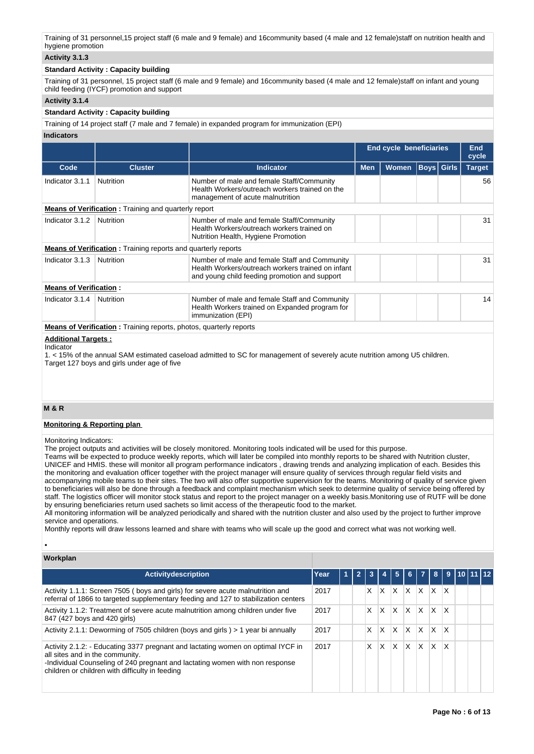Training of 31 personnel,15 project staff (6 male and 9 female) and 16community based (4 male and 12 female)staff on nutrition health and hygiene promotion

# **Activity 3.1.3**

#### **Standard Activity : Capacity building**

Training of 31 personnel, 15 project staff (6 male and 9 female) and 16community based (4 male and 12 female)staff on infant and young child feeding (IYCF) promotion and support

#### **Activity 3.1.4**

### **Standard Activity : Capacity building**

Training of 14 project staff (7 male and 7 female) in expanded program for immunization (EPI)

#### **Indicators**

|                               |                                                                            |                                                                                                                                                     |            | <b>End cycle beneficiaries</b> |                   | End<br>cycle  |
|-------------------------------|----------------------------------------------------------------------------|-----------------------------------------------------------------------------------------------------------------------------------------------------|------------|--------------------------------|-------------------|---------------|
| Code                          | <b>Cluster</b>                                                             | <b>Indicator</b>                                                                                                                                    | <b>Men</b> | <b>Women</b>                   | <b>Boys</b> Girls | <b>Target</b> |
| Indicator 3.1.1               | <b>Nutrition</b>                                                           | Number of male and female Staff/Community<br>Health Workers/outreach workers trained on the<br>management of acute malnutrition                     |            |                                |                   | 56            |
|                               | <b>Means of Verification</b> : Training and quarterly report               |                                                                                                                                                     |            |                                |                   |               |
| Indicator 3.1.2               | Nutrition                                                                  | Number of male and female Staff/Community<br>Health Workers/outreach workers trained on<br>Nutrition Health, Hygiene Promotion                      |            |                                |                   | 31            |
|                               | <b>Means of Verification</b> : Training reports and quarterly reports      |                                                                                                                                                     |            |                                |                   |               |
| Indicator 3.1.3               | Nutrition                                                                  | Number of male and female Staff and Community<br>Health Workers/outreach workers trained on infant<br>and young child feeding promotion and support |            |                                |                   | 31            |
| <b>Means of Verification:</b> |                                                                            |                                                                                                                                                     |            |                                |                   |               |
| Indicator 3.1.4               | <b>Nutrition</b>                                                           | Number of male and female Staff and Community<br>Health Workers trained on Expanded program for<br>immunization (EPI)                               |            |                                |                   | 14            |
|                               | <b>Means of Verification</b> : Training reports, photos, quarterly reports |                                                                                                                                                     |            |                                |                   |               |

## **Additional Targets :**

#### Indicator

1. < 15% of the annual SAM estimated caseload admitted to SC for management of severely acute nutrition among U5 children. Target 127 boys and girls under age of five

# **M & R**

•

#### **Monitoring & Reporting plan**

Monitoring Indicators:

The project outputs and activities will be closely monitored. Monitoring tools indicated will be used for this purpose.

Teams will be expected to produce weekly reports, which will later be compiled into monthly reports to be shared with Nutrition cluster, UNICEF and HMIS. these will monitor all program performance indicators , drawing trends and analyzing implication of each. Besides this the monitoring and evaluation officer together with the project manager will ensure quality of services through regular field visits and accompanying mobile teams to their sites. The two will also offer supportive supervision for the teams. Monitoring of quality of service given to beneficiaries will also be done through a feedback and complaint mechanism which seek to determine quality of service being offered by staff. The logistics officer will monitor stock status and report to the project manager on a weekly basis.Monitoring use of RUTF will be done by ensuring beneficiaries return used sachets so limit access of the therapeutic food to the market.

All monitoring information will be analyzed periodically and shared with the nutrition cluster and also used by the project to further improve service and operations.

Monthly reports will draw lessons learned and share with teams who will scale up the good and correct what was not working well.

| Workplan                                                                                                                                                                                                                                               |      |   |    |   |          |              |              |     |              |           |  |
|--------------------------------------------------------------------------------------------------------------------------------------------------------------------------------------------------------------------------------------------------------|------|---|----|---|----------|--------------|--------------|-----|--------------|-----------|--|
| Activitydescription                                                                                                                                                                                                                                    | Year | и |    |   | 5        | 6.           |              | 8   | 9            | 110 11 12 |  |
| Activity 1.1.1: Screen 7505 (boys and girls) for severe acute malnutrition and<br>referral of 1866 to targeted supplementary feeding and 127 to stabilization centers                                                                                  | 2017 |   | X. | X | $\times$ | ΙX.          | $\mathsf{X}$ | IX. | ΙX           |           |  |
| Activity 1.1.2: Treatment of severe acute malnutrition among children under five<br>847 (427 boys and 420 girls)                                                                                                                                       | 2017 |   | X  | X | X        | ΙX           | IX.          | X.  | ΙX.          |           |  |
| Activity 2.1.1: Deworming of 7505 children (boys and girls) > 1 year bi annually                                                                                                                                                                       | 2017 |   | X  | X | X        | $\mathsf{X}$ | X.           | X   | X            |           |  |
| Activity 2.1.2: - Educating 3377 pregnant and lactating women on optimal IYCF in<br>all sites and in the community.<br>-Individual Counseling of 240 pregnant and lactating women with non response<br>children or children with difficulty in feeding | 2017 |   | x  | x | X        | $\times$     | X            | X   | $\mathsf{x}$ |           |  |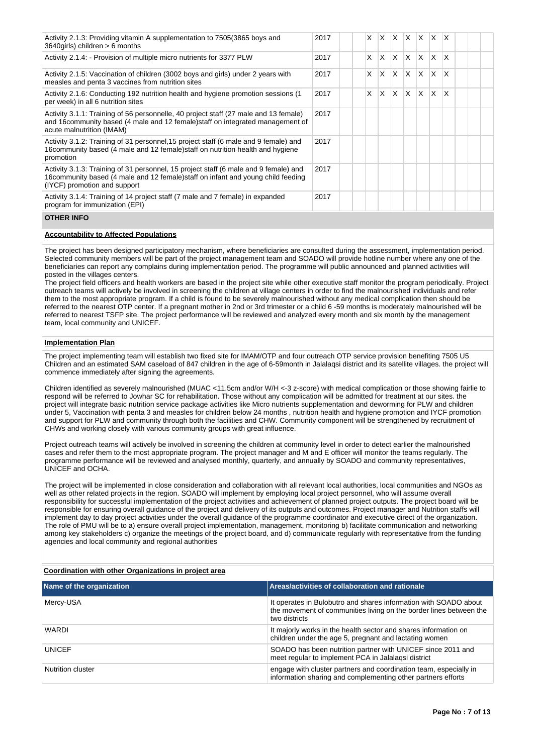| Activity 2.1.3: Providing vitamin A supplementation to 7505 (3865 boys and<br>3640qirls) children > 6 months                                                                                              | 2017 | X  | X | ΙX.      |     | $X$ $X$ $X$  |     | $\mathsf{I} \mathsf{X}$ |  |  |
|-----------------------------------------------------------------------------------------------------------------------------------------------------------------------------------------------------------|------|----|---|----------|-----|--------------|-----|-------------------------|--|--|
| Activity 2.1.4: - Provision of multiple micro nutrients for 3377 PLW                                                                                                                                      | 2017 | X  | X | <b>X</b> | ΙX. | $\mathsf{X}$ | X.  | X                       |  |  |
| Activity 2.1.5: Vaccination of children (3002 boys and girls) under 2 years with<br>measles and penta 3 vaccines from nutrition sites                                                                     | 2017 | X  | X | X.       |     | X X          | IX. | X                       |  |  |
| Activity 2.1.6: Conducting 192 nutrition health and hygiene promotion sessions (1)<br>per week) in all 6 nutrition sites                                                                                  | 2017 | X. | X | X.       | ΙX. | $\mathsf{X}$ | X.  | X                       |  |  |
| Activity 3.1.1: Training of 56 personnelle, 40 project staff (27 male and 13 female)<br>and 16community based (4 male and 12 female) staff on integrated management of<br>acute malnutrition (IMAM)       | 2017 |    |   |          |     |              |     |                         |  |  |
| Activity 3.1.2: Training of 31 personnel, 15 project staff (6 male and 9 female) and<br>16 community based (4 male and 12 female) staff on nutrition health and hygiene<br>promotion                      | 2017 |    |   |          |     |              |     |                         |  |  |
| Activity 3.1.3: Training of 31 personnel, 15 project staff (6 male and 9 female) and<br>16 community based (4 male and 12 female) staff on infant and young child feeding<br>(IYCF) promotion and support | 2017 |    |   |          |     |              |     |                         |  |  |
| Activity 3.1.4: Training of 14 project staff (7 male and 7 female) in expanded<br>program for immunization (EPI)                                                                                          | 2017 |    |   |          |     |              |     |                         |  |  |

#### **OTHER INFO**

## **Accountability to Affected Populations**

The project has been designed participatory mechanism, where beneficiaries are consulted during the assessment, implementation period. Selected community members will be part of the project management team and SOADO will provide hotline number where any one of the beneficiaries can report any complains during implementation period. The programme will public announced and planned activities will posted in the villages centers.

The project field officers and health workers are based in the project site while other executive staff monitor the program periodically. Project outreach teams will actively be involved in screening the children at village centers in order to find the malnourished individuals and refer them to the most appropriate program. If a child is found to be severely malnourished without any medical complication then should be referred to the nearest OTP center. If a pregnant mother in 2nd or 3rd trimester or a child 6 -59 months is moderately malnourished will be referred to nearest TSFP site. The project performance will be reviewed and analyzed every month and six month by the management team, local community and UNICEF.

#### **Implementation Plan**

The project implementing team will establish two fixed site for IMAM/OTP and four outreach OTP service provision benefiting 7505 U5 Children and an estimated SAM caseload of 847 children in the age of 6-59month in Jalalaqsi district and its satellite villages. the project will commence immediately after signing the agreements.

Children identified as severely malnourished (MUAC <11.5cm and/or W/H <-3 z-score) with medical complication or those showing fairlie to respond will be referred to Jowhar SC for rehabilitation. Those without any complication will be admitted for treatment at our sites. the project will integrate basic nutrition service package activities like Micro nutrients supplementation and deworming for PLW and children under 5, Vaccination with penta 3 and measles for children below 24 months , nutrition health and hygiene promotion and IYCF promotion and support for PLW and community through both the facilities and CHW. Community component will be strengthened by recruitment of CHWs and working closely with various community groups with great influence.

Project outreach teams will actively be involved in screening the children at community level in order to detect earlier the malnourished cases and refer them to the most appropriate program. The project manager and M and E officer will monitor the teams regularly. The programme performance will be reviewed and analysed monthly, quarterly, and annually by SOADO and community representatives, UNICEF and OCHA.

The project will be implemented in close consideration and collaboration with all relevant local authorities, local communities and NGOs as well as other related projects in the region. SOADO will implement by employing local project personnel, who will assume overall responsibility for successful implementation of the project activities and achievement of planned project outputs. The project board will be responsible for ensuring overall guidance of the project and delivery of its outputs and outcomes. Project manager and Nutrition staffs will implement day to day project activities under the overall guidance of the programme coordinator and executive direct of the organization. The role of PMU will be to a) ensure overall project implementation, management, monitoring b) facilitate communication and networking among key stakeholders c) organize the meetings of the project board, and d) communicate regularly with representative from the funding agencies and local community and regional authorities

#### **Coordination with other Organizations in project area**

| Name of the organization | Areas/activities of collaboration and rationale                                                                                                         |
|--------------------------|---------------------------------------------------------------------------------------------------------------------------------------------------------|
| Mercy-USA                | It operates in Bulobutro and shares information with SOADO about<br>the movement of communities living on the border lines between the<br>two districts |
| WARDI                    | It majorly works in the health sector and shares information on<br>children under the age 5, pregnant and lactating women                               |
| <b>UNICEF</b>            | SOADO has been nutrition partner with UNICEF since 2011 and<br>meet regular to implement PCA in Jalalagsi district                                      |
| Nutrition cluster        | engage with cluster partners and coordination team, especially in<br>information sharing and complementing other partners efforts                       |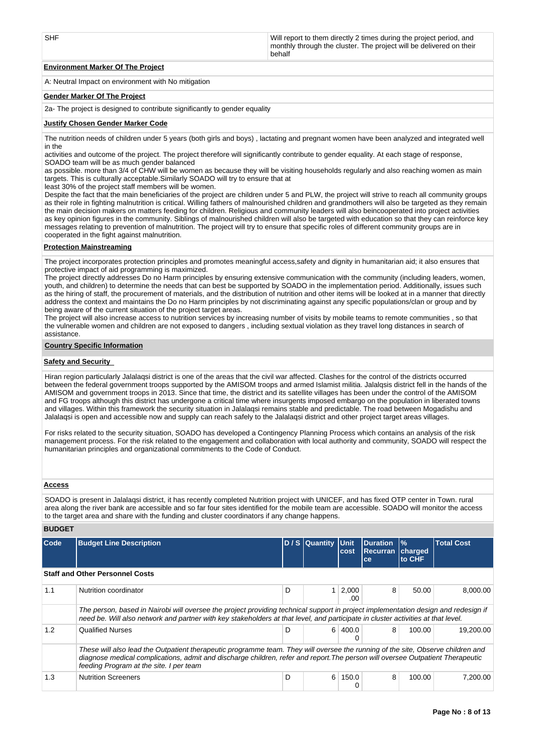| SHF | Will report to them directly 2 times during the project period, and<br>monthly through the cluster. The project will be delivered on their<br>behalf |
|-----|------------------------------------------------------------------------------------------------------------------------------------------------------|
|-----|------------------------------------------------------------------------------------------------------------------------------------------------------|

# **Environment Marker Of The Project**

A: Neutral Impact on environment with No mitigation

#### **Gender Marker Of The Project**

2a- The project is designed to contribute significantly to gender equality

#### **Justify Chosen Gender Marker Code**

The nutrition needs of children under 5 years (both girls and boys) , lactating and pregnant women have been analyzed and integrated well in the

activities and outcome of the project. The project therefore will significantly contribute to gender equality. At each stage of response, SOADO team will be as much gender balanced

as possible. more than 3/4 of CHW will be women as because they will be visiting households regularly and also reaching women as main targets. This is culturally acceptable.Similarly SOADO will try to ensure that at

least 30% of the project staff members will be women.

Despite the fact that the main beneficiaries of the project are children under 5 and PLW, the project will strive to reach all community groups as their role in fighting malnutrition is critical. Willing fathers of malnourished children and grandmothers will also be targeted as they remain the main decision makers on matters feeding for children. Religious and community leaders will also beincooperated into project activities as key opinion figures in the community. Siblings of malnourished children will also be targeted with education so that they can reinforce key messages relating to prevention of malnutrition. The project will try to ensure that specific roles of different community groups are in cooperated in the fight against malnutrition.

#### **Protection Mainstreaming**

The project incorporates protection principles and promotes meaningful access,safety and dignity in humanitarian aid; it also ensures that protective impact of aid programming is maximized.

The project directly addresses Do no Harm principles by ensuring extensive communication with the community (including leaders, women, youth, and children) to determine the needs that can best be supported by SOADO in the implementation period. Additionally, issues such as the hiring of staff, the procurement of materials, and the distribution of nutrition and other items will be looked at in a manner that directly address the context and maintains the Do no Harm principles by not discriminating against any specific populations/clan or group and by being aware of the current situation of the project target areas.

The project will also increase access to nutrition services by increasing number of visits by mobile teams to remote communities , so that the vulnerable women and children are not exposed to dangers , including sextual violation as they travel long distances in search of assistance.

#### **Country Specific Information**

#### **Safety and Security**

Hiran region particularly Jalalaqsi district is one of the areas that the civil war affected. Clashes for the control of the districts occurred between the federal government troops supported by the AMISOM troops and armed Islamist militia. Jalalqsis district fell in the hands of the AMISOM and government troops in 2013. Since that time, the district and its satellite villages has been under the control of the AMISOM and FG troops although this district has undergone a critical time where insurgents imposed embargo on the population in liberated towns and villages. Within this framework the security situation in Jalalaqsi remains stable and predictable. The road between Mogadishu and Jalalaqsi is open and accessible now and supply can reach safely to the Jalalaqsi district and other project target areas villages.

For risks related to the security situation, SOADO has developed a Contingency Planning Process which contains an analysis of the risk management process. For the risk related to the engagement and collaboration with local authority and community, SOADO will respect the humanitarian principles and organizational commitments to the Code of Conduct.

### **Access**

**BUDGET**

SOADO is present in Jalalaqsi district, it has recently completed Nutrition project with UNICEF, and has fixed OTP center in Town. rural area along the river bank are accessible and so far four sites identified for the mobile team are accessible. SOADO will monitor the access to the target area and share with the funding and cluster coordinators if any change happens.

| Code | <b>Budget Line Description</b>                                                                                                                                                                                                                                                                               |   | D / S Quantity Unit | cost                | <b>Duration</b><br><b>Recurran</b><br><b>ce</b> | $\frac{9}{6}$<br>charged<br>to CHF | <b>Total Cost</b> |
|------|--------------------------------------------------------------------------------------------------------------------------------------------------------------------------------------------------------------------------------------------------------------------------------------------------------------|---|---------------------|---------------------|-------------------------------------------------|------------------------------------|-------------------|
|      | <b>Staff and Other Personnel Costs</b>                                                                                                                                                                                                                                                                       |   |                     |                     |                                                 |                                    |                   |
| 1.1  | Nutrition coordinator                                                                                                                                                                                                                                                                                        | D |                     | 2,000<br>.00        | 8                                               | 50.00                              | 8.000.00          |
|      | The person, based in Nairobi will oversee the project providing technical support in project implementation design and redesign if<br>need be. Will also network and partner with key stakeholders at that level, and participate in cluster activities at that level.                                       |   |                     |                     |                                                 |                                    |                   |
| 1.2  | <b>Qualified Nurses</b>                                                                                                                                                                                                                                                                                      | D |                     | $6 \mid 400.0$<br>0 | 8                                               | 100.00                             | 19.200.00         |
|      | These will also lead the Outpatient therapeutic programme team. They will oversee the running of the site, Observe children and<br>diagnose medical complications, admit and discharge children, refer and report. The person will oversee Outpatient Therapeutic<br>feeding Program at the site. I per team |   |                     |                     |                                                 |                                    |                   |
| 1.3  | <b>Nutrition Screeners</b>                                                                                                                                                                                                                                                                                   | D |                     | 6 150.0<br>0        | 8                                               | 100.00                             | 7.200.00          |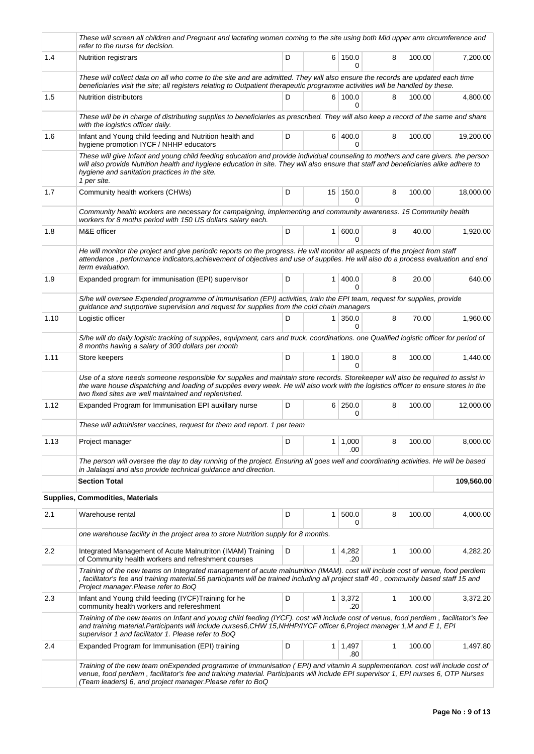|      | These will screen all children and Pregnant and lactating women coming to the site using both Mid upper arm circumference and<br>refer to the nurse for decision.                                                                                                                                                                         |   |                |                            |   |        |            |
|------|-------------------------------------------------------------------------------------------------------------------------------------------------------------------------------------------------------------------------------------------------------------------------------------------------------------------------------------------|---|----------------|----------------------------|---|--------|------------|
| 1.4  | <b>Nutrition registrars</b>                                                                                                                                                                                                                                                                                                               | D |                | 6 150.0<br>0               | 8 | 100.00 | 7,200.00   |
|      | These will collect data on all who come to the site and are admitted. They will also ensure the records are updated each time<br>beneficiaries visit the site; all registers relating to Outpatient therapeutic programme activities will be handled by these.                                                                            |   |                |                            |   |        |            |
| 1.5  | <b>Nutrition distributors</b>                                                                                                                                                                                                                                                                                                             | D |                | 6 100.0<br>0               | 8 | 100.00 | 4,800.00   |
|      | These will be in charge of distributing supplies to beneficiaries as prescribed. They will also keep a record of the same and share<br>with the logistics officer daily.                                                                                                                                                                  |   |                |                            |   |        |            |
| 1.6  | Infant and Young child feeding and Nutrition health and<br>hygiene promotion IYCF / NHHP educators                                                                                                                                                                                                                                        | D |                | 6 400.0<br>0               | 8 | 100.00 | 19,200.00  |
|      | These will give Infant and young child feeding education and provide individual counseling to mothers and care givers. the person<br>will also provide Nutrition health and hygiene education in site. They will also ensure that staff and beneficiaries alike adhere to<br>hygiene and sanitation practices in the site.<br>1 per site. |   |                |                            |   |        |            |
| 1.7  | Community health workers (CHWs)                                                                                                                                                                                                                                                                                                           | D |                | $15$ 150.0<br><sup>0</sup> | 8 | 100.00 | 18,000.00  |
|      | Community health workers are necessary for campaigning, implementing and community awareness. 15 Community health<br>workers for 8 moths period with 150 US dollars salary each.                                                                                                                                                          |   |                |                            |   |        |            |
| 1.8  | M&E officer                                                                                                                                                                                                                                                                                                                               | D | 1 <sup>1</sup> | 600.0<br>0                 | 8 | 40.00  | 1,920.00   |
|      | He will monitor the project and give periodic reports on the progress. He will monitor all aspects of the project from staff<br>attendance, performance indicators, achievement of objectives and use of supplies. He will also do a process evaluation and end<br>term evaluation.                                                       |   |                |                            |   |        |            |
| 1.9  | Expanded program for immunisation (EPI) supervisor                                                                                                                                                                                                                                                                                        | D | 1 <sup>1</sup> | 400.0<br>$\Omega$          | 8 | 20.00  | 640.00     |
|      | S/he will oversee Expended programme of immunisation (EPI) activities, train the EPI team, request for supplies, provide<br>guidance and supportive supervision and request for supplies from the cold chain managers                                                                                                                     |   |                |                            |   |        |            |
| 1.10 | Logistic officer                                                                                                                                                                                                                                                                                                                          | D | 1              | 350.0<br>0                 | 8 | 70.00  | 1,960.00   |
|      | S/he will do daily logistic tracking of supplies, equipment, cars and truck. coordinations. one Qualified logistic officer for period of<br>8 months having a salary of 300 dollars per month                                                                                                                                             |   |                |                            |   |        |            |
| 1.11 | Store keepers                                                                                                                                                                                                                                                                                                                             | D |                | $1 \mid 180.0$<br>$\Omega$ | 8 | 100.00 | 1,440.00   |
|      | Use of a store needs someone responsible for supplies and maintain store records. Storekeeper will also be required to assist in<br>the ware house dispatching and loading of supplies every week. He will also work with the logistics officer to ensure stores in the<br>two fixed sites are well maintained and replenished.           |   |                |                            |   |        |            |
| 1.12 | Expanded Program for Immunisation EPI auxillary nurse                                                                                                                                                                                                                                                                                     | D |                | 6 250.0<br>0               | 8 | 100.00 | 12,000.00  |
|      | These will administer vaccines, request for them and report. 1 per team                                                                                                                                                                                                                                                                   |   |                |                            |   |        |            |
| 1.13 | Project manager                                                                                                                                                                                                                                                                                                                           | D | 1 <sup>1</sup> | 1,000<br>.00               | 8 | 100.00 | 8,000.00   |
|      | The person will oversee the day to day running of the project. Ensuring all goes well and coordinating activities. He will be based<br>in Jalalagsi and also provide technical guidance and direction.                                                                                                                                    |   |                |                            |   |        |            |
|      | <b>Section Total</b>                                                                                                                                                                                                                                                                                                                      |   |                |                            |   |        | 109,560.00 |
|      | <b>Supplies, Commodities, Materials</b>                                                                                                                                                                                                                                                                                                   |   |                |                            |   |        |            |
| 2.1  | Warehouse rental                                                                                                                                                                                                                                                                                                                          | D | 1              | 500.0<br>0                 | 8 | 100.00 | 4,000.00   |
|      | one warehouse facility in the project area to store Nutrition supply for 8 months.                                                                                                                                                                                                                                                        |   |                |                            |   |        |            |
| 2.2  | Integrated Management of Acute Malnutriton (IMAM) Training<br>of Community health workers and refreshment courses                                                                                                                                                                                                                         | D | 1              | 4,282<br>.20               | 1 | 100.00 | 4,282.20   |
|      | Training of the new teams on Integrated management of acute malnutrition (IMAM). cost will include cost of venue, food perdiem<br>, facilitator's fee and training material.56 participants will be trained including all project staff 40, community based staff 15 and<br>Project manager. Please refer to BoQ                          |   |                |                            |   |        |            |
| 2.3  | Infant and Young child feeding (IYCF)Training for he<br>community health workers and refereshment                                                                                                                                                                                                                                         | D |                | $1 \mid 3,372$<br>.20      | 1 | 100.00 | 3,372.20   |
|      | Training of the new teams on Infant and young child feeding (IYCF). cost will include cost of venue, food perdiem, facilitator's fee<br>and training material.Participants will include nurses6,CHW 15,NHHP/IYCF officer 6,Project manager 1,M and E 1, EPI<br>supervisor 1 and facilitator 1. Please refer to BoQ                        |   |                |                            |   |        |            |
| 2.4  | Expanded Program for Immunisation (EPI) training                                                                                                                                                                                                                                                                                          | D |                | $1 \mid 1,497$<br>.80      | 1 | 100.00 | 1,497.80   |
|      | Training of the new team onExpended programme of immunisation (EPI) and vitamin A supplementation. cost will include cost of<br>venue, food perdiem, facilitator's fee and training material. Participants will include EPI supervisor 1, EPI nurses 6, OTP Nurses<br>(Team leaders) 6, and project manager. Please refer to BoQ          |   |                |                            |   |        |            |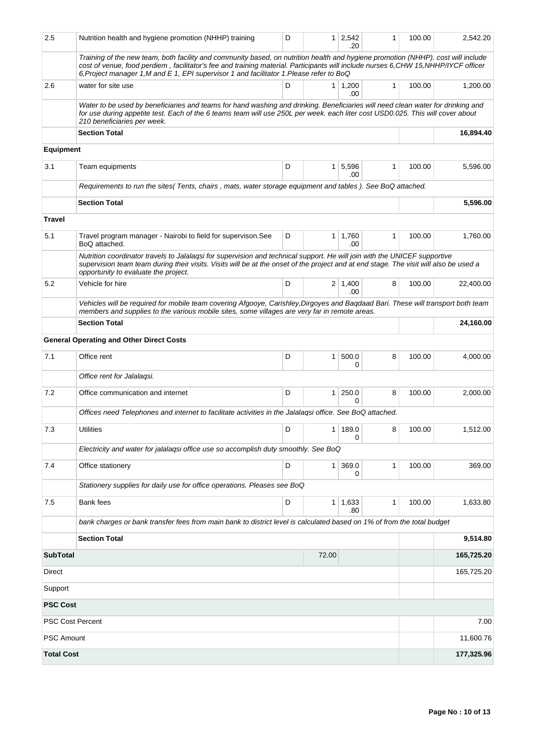| 2.5                     | Nutrition health and hygiene promotion (NHHP) training                                                                                                                                                                                                                                                                                                              | D |                | $1 \ 2,542$<br>.20    | 1            | 100.00    | 2,542.20   |
|-------------------------|---------------------------------------------------------------------------------------------------------------------------------------------------------------------------------------------------------------------------------------------------------------------------------------------------------------------------------------------------------------------|---|----------------|-----------------------|--------------|-----------|------------|
|                         | Training of the new team, both facility and community based, on nutrition health and hygiene promotion (NHHP), cost will include<br>cost of venue, food perdiem, facilitator's fee and training material. Participants will include nurses 6, CHW 15, NHHP/IYCF officer<br>6, Project manager 1, M and E 1, EPI supervisor 1 and facilitator 1. Please refer to BoQ |   |                |                       |              |           |            |
| 2.6                     | water for site use                                                                                                                                                                                                                                                                                                                                                  | D |                | $1 \mid 1,200$<br>.00 | 1            | 100.00    | 1,200.00   |
|                         | Water to be used by beneficiaries and teams for hand washing and drinking. Beneficiaries will need clean water for drinking and<br>for use during appetite test. Each of the 6 teams team will use 250L per week. each liter cost USD0.025. This will cover about<br>210 beneficiaries per week.                                                                    |   |                |                       |              |           |            |
|                         | <b>Section Total</b>                                                                                                                                                                                                                                                                                                                                                |   |                |                       |              |           | 16,894.40  |
| <b>Equipment</b>        |                                                                                                                                                                                                                                                                                                                                                                     |   |                |                       |              |           |            |
| 3.1                     | Team equipments                                                                                                                                                                                                                                                                                                                                                     | D | 1 <sup>1</sup> | 5,596<br>.00          | $\mathbf{1}$ | 100.00    | 5,596.00   |
|                         | Requirements to run the sites(Tents, chairs, mats, water storage equipment and tables). See BoQ attached.                                                                                                                                                                                                                                                           |   |                |                       |              |           |            |
|                         | <b>Section Total</b>                                                                                                                                                                                                                                                                                                                                                |   |                |                       |              |           | 5,596.00   |
| <b>Travel</b>           |                                                                                                                                                                                                                                                                                                                                                                     |   |                |                       |              |           |            |
| 5.1                     | Travel program manager - Nairobi to field for supervison. See<br>BoQ attached.                                                                                                                                                                                                                                                                                      | D |                | $1 \mid 1,760$<br>.00 | 1            | 100.00    | 1,760.00   |
|                         | Nutrition coordinator travels to Jalalagsi for supervision and technical support. He will join with the UNICEF supportive<br>supervision team team during their visits. Visits will be at the onset of the project and at end stage. The visit will also be used a<br>opportunity to evaluate the project.                                                          |   |                |                       |              |           |            |
| 5.2                     | Vehicle for hire                                                                                                                                                                                                                                                                                                                                                    | D |                | $2 \mid 1,400$<br>.00 | 8            | 100.00    | 22,400.00  |
|                         | Vehicles will be required for mobile team covering Afgooye, Carishley, Dirgoyes and Baqdaad Bari. These will transport both team<br>members and supplies to the various mobile sites, some villages are very far in remote areas.                                                                                                                                   |   |                |                       |              |           |            |
| <b>Section Total</b>    |                                                                                                                                                                                                                                                                                                                                                                     |   |                |                       |              |           | 24,160.00  |
|                         | <b>General Operating and Other Direct Costs</b>                                                                                                                                                                                                                                                                                                                     |   |                |                       |              |           |            |
| 7.1                     | Office rent                                                                                                                                                                                                                                                                                                                                                         | D | 1 <sup>1</sup> | 500.0<br>0            | 8            | 100.00    | 4,000.00   |
|                         | Office rent for Jalalaqsi.                                                                                                                                                                                                                                                                                                                                          |   |                |                       |              |           |            |
| 7.2                     | Office communication and internet                                                                                                                                                                                                                                                                                                                                   | D | 1 <sup>1</sup> | 250.0<br>0            | 8            | 100.00    | 2,000.00   |
|                         | Offices need Telephones and internet to facilitate activities in the Jalalagsi office. See BoQ attached.                                                                                                                                                                                                                                                            |   |                |                       |              |           |            |
| 7.3                     | <b>Utilities</b>                                                                                                                                                                                                                                                                                                                                                    | D |                | 1 189.0<br>0          | 8            | 100.00    | 1,512.00   |
|                         | Electricity and water for jalalagsi office use so accomplish duty smoothly. See BoQ                                                                                                                                                                                                                                                                                 |   |                |                       |              |           |            |
| 7.4                     | Office stationery                                                                                                                                                                                                                                                                                                                                                   | D | 1 <sup>1</sup> | 369.0<br>0            | 1            | 100.00    | 369.00     |
|                         | Stationery supplies for daily use for office operations. Pleases see BoQ                                                                                                                                                                                                                                                                                            |   |                |                       |              |           |            |
| $7.5$                   | Bank fees                                                                                                                                                                                                                                                                                                                                                           | D |                | $1 \mid 1,633$<br>.80 | 1            | 100.00    | 1,633.80   |
|                         | bank charges or bank transfer fees from main bank to district level is calculated based on 1% of from the total budget                                                                                                                                                                                                                                              |   |                |                       |              |           |            |
|                         | <b>Section Total</b>                                                                                                                                                                                                                                                                                                                                                |   |                |                       |              |           | 9,514.80   |
| <b>SubTotal</b>         |                                                                                                                                                                                                                                                                                                                                                                     |   | 72.00          |                       |              |           | 165,725.20 |
| Direct                  |                                                                                                                                                                                                                                                                                                                                                                     |   |                |                       |              |           | 165,725.20 |
| Support                 |                                                                                                                                                                                                                                                                                                                                                                     |   |                |                       |              |           |            |
| <b>PSC Cost</b>         |                                                                                                                                                                                                                                                                                                                                                                     |   |                |                       |              |           |            |
| <b>PSC Cost Percent</b> |                                                                                                                                                                                                                                                                                                                                                                     |   |                |                       | 7.00         |           |            |
| PSC Amount              |                                                                                                                                                                                                                                                                                                                                                                     |   |                |                       |              | 11,600.76 |            |
| <b>Total Cost</b>       |                                                                                                                                                                                                                                                                                                                                                                     |   |                |                       |              |           | 177,325.96 |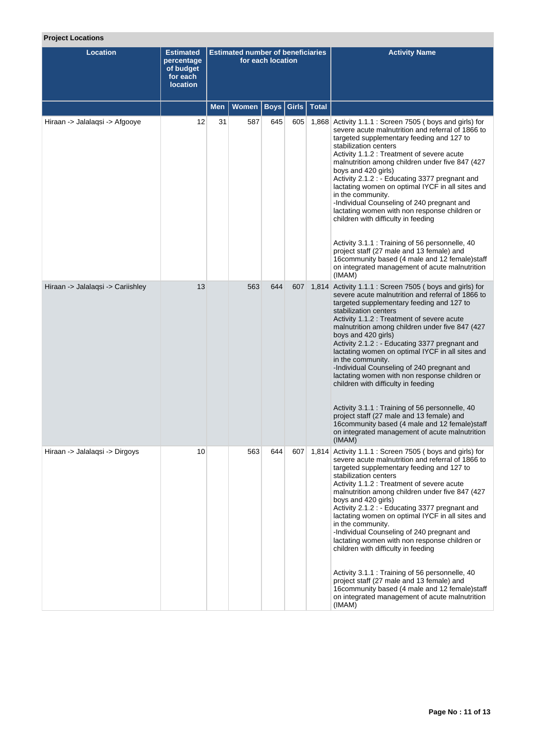# **Project Locations**

| <b>Location</b>                   | <b>Estimated</b><br>percentage<br>of budget<br>for each<br><b>location</b> | <b>Estimated number of beneficiaries</b><br>for each location |       |             |       |              | <b>Activity Name</b>                                                                                                                                                                                                                                                                                                                                                                                                                                                                                                                                                                                                                                                                                                                                                                       |
|-----------------------------------|----------------------------------------------------------------------------|---------------------------------------------------------------|-------|-------------|-------|--------------|--------------------------------------------------------------------------------------------------------------------------------------------------------------------------------------------------------------------------------------------------------------------------------------------------------------------------------------------------------------------------------------------------------------------------------------------------------------------------------------------------------------------------------------------------------------------------------------------------------------------------------------------------------------------------------------------------------------------------------------------------------------------------------------------|
|                                   |                                                                            | Men                                                           | Women | <b>Boys</b> | Girls | <b>Total</b> |                                                                                                                                                                                                                                                                                                                                                                                                                                                                                                                                                                                                                                                                                                                                                                                            |
| Hiraan -> Jalalaqsi -> Afgooye    | 12                                                                         | 31                                                            | 587   | 645         | 605   | 1,868        | Activity 1.1.1 : Screen 7505 (boys and girls) for<br>severe acute malnutrition and referral of 1866 to<br>targeted supplementary feeding and 127 to<br>stabilization centers<br>Activity 1.1.2 : Treatment of severe acute<br>malnutrition among children under five 847 (427)<br>boys and 420 girls)<br>Activity 2.1.2 : - Educating 3377 pregnant and<br>lactating women on optimal IYCF in all sites and<br>in the community.<br>-Individual Counseling of 240 pregnant and<br>lactating women with non response children or<br>children with difficulty in feeding<br>Activity 3.1.1 : Training of 56 personnelle, 40<br>project staff (27 male and 13 female) and<br>16community based (4 male and 12 female)staff<br>on integrated management of acute malnutrition<br>(IMAM)        |
| Hiraan -> Jalalaqsi -> Cariishley | 13                                                                         |                                                               | 563   | 644         | 607   |              | 1,814 Activity 1.1.1 : Screen 7505 (boys and girls) for<br>severe acute malnutrition and referral of 1866 to<br>targeted supplementary feeding and 127 to<br>stabilization centers<br>Activity 1.1.2 : Treatment of severe acute<br>malnutrition among children under five 847 (427)<br>boys and 420 girls)<br>Activity 2.1.2 : - Educating 3377 pregnant and<br>lactating women on optimal IYCF in all sites and<br>in the community.<br>-Individual Counseling of 240 pregnant and<br>lactating women with non response children or<br>children with difficulty in feeding<br>Activity 3.1.1 : Training of 56 personnelle, 40<br>project staff (27 male and 13 female) and<br>16community based (4 male and 12 female) staff<br>on integrated management of acute malnutrition<br>(IMAM) |
| Hiraan -> Jalalaqsi -> Dirgoys    | 10                                                                         |                                                               | 563   | 644         | 607   |              | 1,814 Activity 1.1.1 : Screen 7505 (boys and girls) for<br>severe acute malnutrition and referral of 1866 to<br>targeted supplementary feeding and 127 to<br>stabilization centers<br>Activity 1.1.2 : Treatment of severe acute<br>malnutrition among children under five 847 (427<br>boys and 420 girls)<br>Activity 2.1.2 : - Educating 3377 pregnant and<br>lactating women on optimal IYCF in all sites and<br>in the community.<br>-Individual Counseling of 240 pregnant and<br>lactating women with non response children or<br>children with difficulty in feeding<br>Activity 3.1.1 : Training of 56 personnelle, 40<br>project staff (27 male and 13 female) and<br>16community based (4 male and 12 female)staff<br>on integrated management of acute malnutrition<br>(IMAM)   |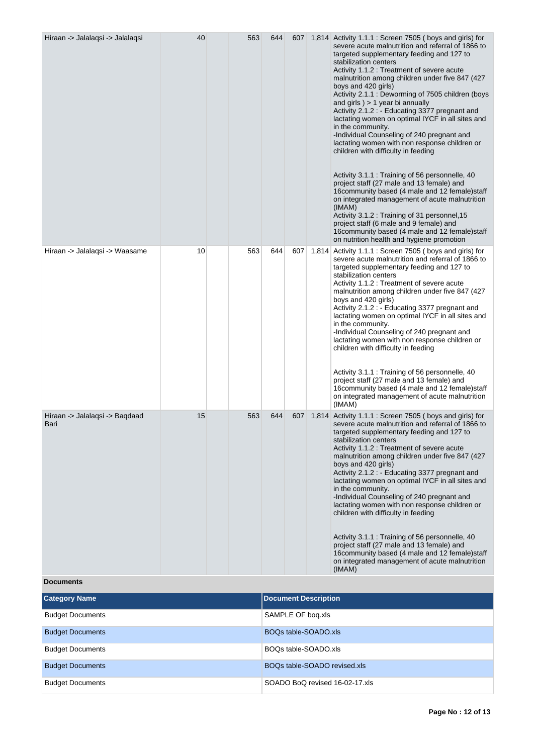| Hiraan -> Jalalaqsi -> Jalalaqsi       | 40 | 563 | 644 |     |       | 607 1,814 Activity 1.1.1 : Screen 7505 (boys and girls) for<br>severe acute malnutrition and referral of 1866 to<br>targeted supplementary feeding and 127 to<br>stabilization centers<br>Activity 1.1.2 : Treatment of severe acute<br>malnutrition among children under five 847 (427<br>boys and 420 girls)<br>Activity 2.1.1 : Deworming of 7505 children (boys<br>and girls $) > 1$ year bi annually<br>Activity 2.1.2 : - Educating 3377 pregnant and<br>lactating women on optimal IYCF in all sites and<br>in the community.<br>-Individual Counseling of 240 pregnant and<br>lactating women with non response children or<br>children with difficulty in feeding<br>Activity 3.1.1 : Training of 56 personnelle, 40<br>project staff (27 male and 13 female) and<br>16community based (4 male and 12 female) staff<br>on integrated management of acute malnutrition<br>(IMAM)<br>Activity 3.1.2 : Training of 31 personnel, 15<br>project staff (6 male and 9 female) and<br>16community based (4 male and 12 female) staff<br>on nutrition health and hygiene promotion |
|----------------------------------------|----|-----|-----|-----|-------|-------------------------------------------------------------------------------------------------------------------------------------------------------------------------------------------------------------------------------------------------------------------------------------------------------------------------------------------------------------------------------------------------------------------------------------------------------------------------------------------------------------------------------------------------------------------------------------------------------------------------------------------------------------------------------------------------------------------------------------------------------------------------------------------------------------------------------------------------------------------------------------------------------------------------------------------------------------------------------------------------------------------------------------------------------------------------------------|
| Hiraan -> Jalalaqsi -> Waasame         | 10 | 563 | 644 | 607 | 1,814 | Activity 1.1.1 : Screen 7505 (boys and girls) for<br>severe acute malnutrition and referral of 1866 to<br>targeted supplementary feeding and 127 to<br>stabilization centers<br>Activity 1.1.2 : Treatment of severe acute<br>malnutrition among children under five 847 (427)<br>boys and 420 girls)<br>Activity 2.1.2 : - Educating 3377 pregnant and<br>lactating women on optimal IYCF in all sites and<br>in the community.<br>-Individual Counseling of 240 pregnant and<br>lactating women with non response children or<br>children with difficulty in feeding<br>Activity 3.1.1 : Training of 56 personnelle, 40<br>project staff (27 male and 13 female) and<br>16community based (4 male and 12 female) staff<br>on integrated management of acute malnutrition<br>(IMAM)                                                                                                                                                                                                                                                                                                |
| Hiraan -> Jalalaqsi -> Baqdaad<br>Bari | 15 | 563 | 644 |     |       | 607 1,814 Activity 1.1.1 : Screen 7505 (boys and girls) for<br>severe acute malnutrition and referral of 1866 to<br>targeted supplementary feeding and 127 to<br>stabilization centers<br>Activity 1.1.2 : Treatment of severe acute<br>malnutrition among children under five 847 (427<br>boys and 420 girls)<br>Activity 2.1.2 : - Educating 3377 pregnant and<br>lactating women on optimal IYCF in all sites and<br>in the community.<br>-Individual Counseling of 240 pregnant and<br>lactating women with non response children or<br>children with difficulty in feeding<br>Activity 3.1.1 : Training of 56 personnelle, 40<br>project staff (27 male and 13 female) and<br>16community based (4 male and 12 female)staff<br>on integrated management of acute malnutrition<br>(IMAM)                                                                                                                                                                                                                                                                                        |

**Documents**

| <b>Category Name</b>    | Document Description           |
|-------------------------|--------------------------------|
| <b>Budget Documents</b> | SAMPLE OF bog.xls              |
| <b>Budget Documents</b> | BOQs table-SOADO.xls           |
| <b>Budget Documents</b> | BOOs table-SOADO.xls           |
| <b>Budget Documents</b> | BOQs table-SOADO revised.xls   |
| <b>Budget Documents</b> | SOADO BoQ revised 16-02-17.xls |